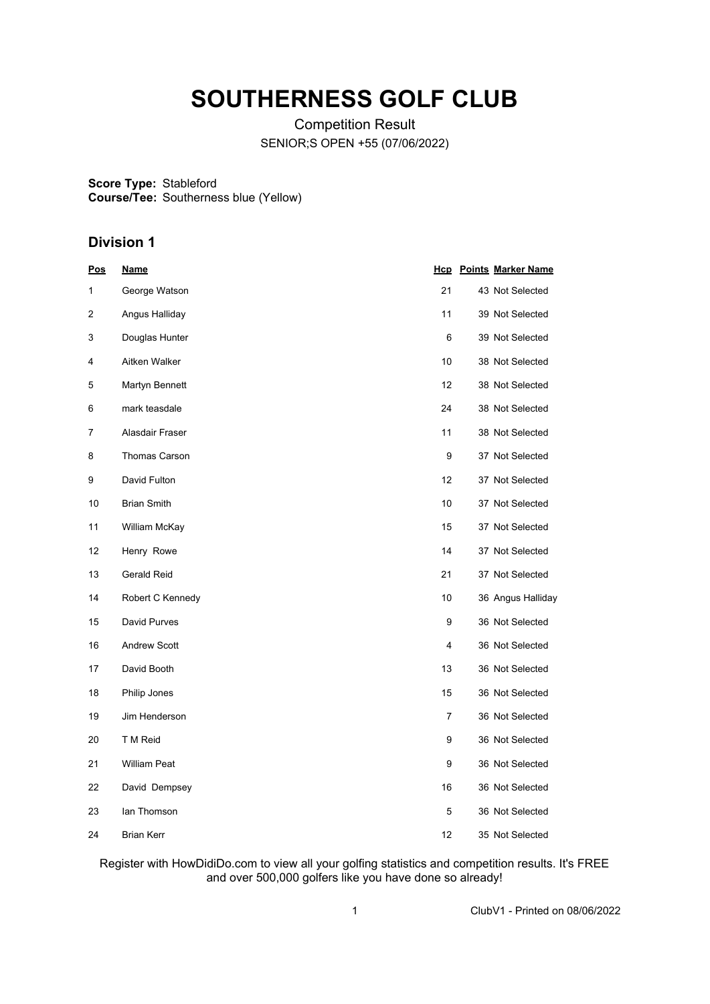# **SOUTHERNESS GOLF CLUB**

Competition Result SENIOR;S OPEN +55 (07/06/2022)

**Score Type:** Stableford **Course/Tee:** Southerness blue (Yellow)

# **Division 1**

| <u>Pos</u> | <u>Name</u>          |                | <b>Hcp</b> Points Marker Name |
|------------|----------------------|----------------|-------------------------------|
| 1          | George Watson        | 21             | 43 Not Selected               |
| 2          | Angus Halliday       | 11             | 39 Not Selected               |
| 3          | Douglas Hunter       | 6              | 39 Not Selected               |
| 4          | Aitken Walker        | 10             | 38 Not Selected               |
| 5          | Martyn Bennett       | 12             | 38 Not Selected               |
| 6          | mark teasdale        | 24             | 38 Not Selected               |
| 7          | Alasdair Fraser      | 11             | 38 Not Selected               |
| 8          | <b>Thomas Carson</b> | 9              | 37 Not Selected               |
| 9          | David Fulton         | 12             | 37 Not Selected               |
| 10         | <b>Brian Smith</b>   | 10             | 37 Not Selected               |
| 11         | William McKay        | 15             | 37 Not Selected               |
| 12         | Henry Rowe           | 14             | 37 Not Selected               |
| 13         | <b>Gerald Reid</b>   | 21             | 37 Not Selected               |
| 14         | Robert C Kennedy     | 10             | 36 Angus Halliday             |
| 15         | David Purves         | 9              | 36 Not Selected               |
| 16         | <b>Andrew Scott</b>  | 4              | 36 Not Selected               |
| 17         | David Booth          | 13             | 36 Not Selected               |
| 18         | Philip Jones         | 15             | 36 Not Selected               |
| 19         | Jim Henderson        | $\overline{7}$ | 36 Not Selected               |
| 20         | T M Reid             | 9              | 36 Not Selected               |
| 21         | <b>William Peat</b>  | 9              | 36 Not Selected               |
| 22         | David Dempsey        | 16             | 36 Not Selected               |
| 23         | lan Thomson          | 5              | 36 Not Selected               |
| 24         | <b>Brian Kerr</b>    | 12             | 35 Not Selected               |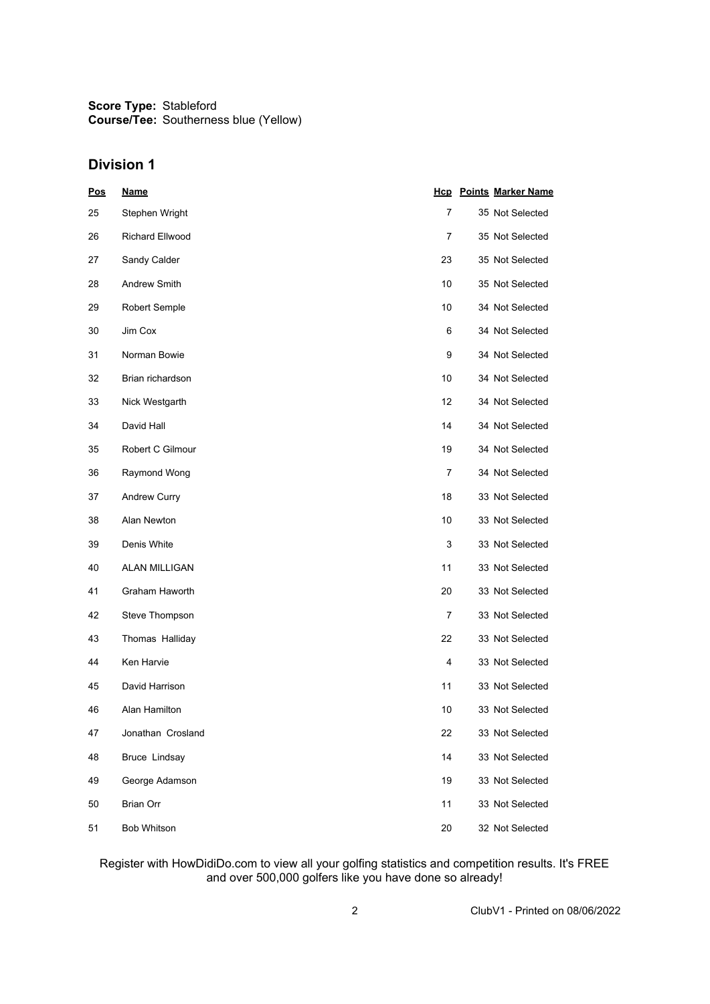# **Division 1**

| <b>Pos</b> | <b>Name</b>            |    | <b>Hcp</b> Points Marker Name |
|------------|------------------------|----|-------------------------------|
| 25         | Stephen Wright         | 7  | 35 Not Selected               |
| 26         | <b>Richard Ellwood</b> | 7  | 35 Not Selected               |
| 27         | Sandy Calder           | 23 | 35 Not Selected               |
| 28         | Andrew Smith           | 10 | 35 Not Selected               |
| 29         | Robert Semple          | 10 | 34 Not Selected               |
| 30         | Jim Cox                | 6  | 34 Not Selected               |
| 31         | Norman Bowie           | 9  | 34 Not Selected               |
| 32         | Brian richardson       | 10 | 34 Not Selected               |
| 33         | Nick Westgarth         | 12 | 34 Not Selected               |
| 34         | David Hall             | 14 | 34 Not Selected               |
| 35         | Robert C Gilmour       | 19 | 34 Not Selected               |
| 36         | Raymond Wong           | 7  | 34 Not Selected               |
| 37         | Andrew Curry           | 18 | 33 Not Selected               |
| 38         | Alan Newton            | 10 | 33 Not Selected               |
| 39         | Denis White            | 3  | 33 Not Selected               |
| 40         | <b>ALAN MILLIGAN</b>   | 11 | 33 Not Selected               |
| 41         | Graham Haworth         | 20 | 33 Not Selected               |
| 42         | Steve Thompson         | 7  | 33 Not Selected               |
| 43         | Thomas Halliday        | 22 | 33 Not Selected               |
| 44         | Ken Harvie             | 4  | 33 Not Selected               |
| 45         | David Harrison         | 11 | 33 Not Selected               |
| 46         | Alan Hamilton          | 10 | 33 Not Selected               |
| 47         | Jonathan Crosland      | 22 | 33 Not Selected               |
| 48         | <b>Bruce Lindsay</b>   | 14 | 33 Not Selected               |
| 49         | George Adamson         | 19 | 33 Not Selected               |
| 50         | <b>Brian Orr</b>       | 11 | 33 Not Selected               |
| 51         | <b>Bob Whitson</b>     | 20 | 32 Not Selected               |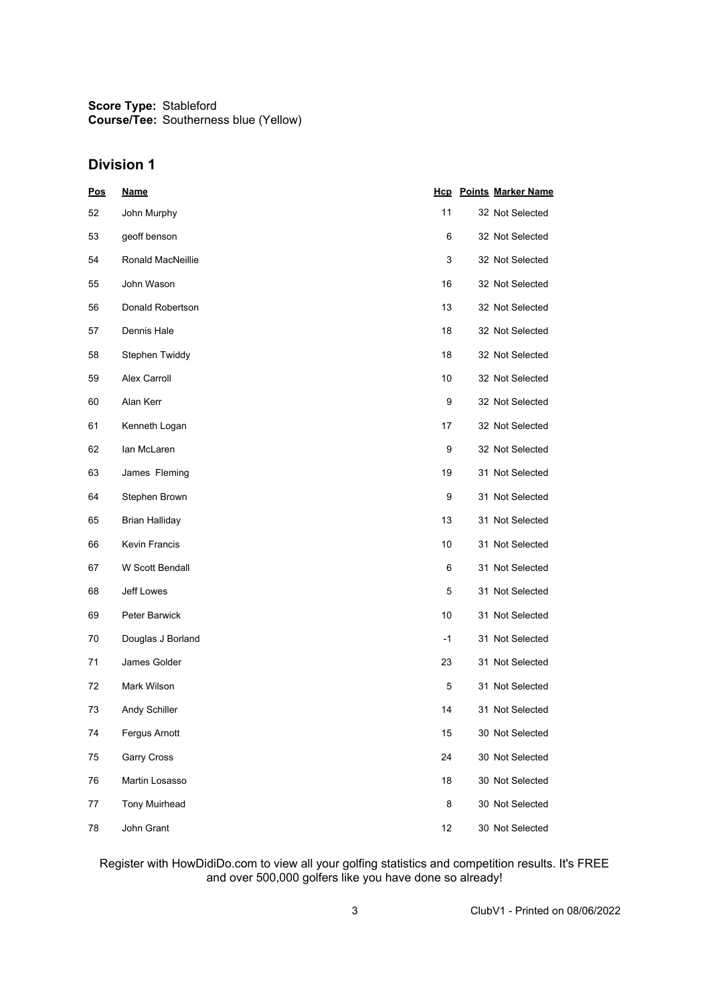## **Division 1**

| <b>Pos</b> | <b>Name</b>              |      | <b>Hcp</b> Points Marker Name |
|------------|--------------------------|------|-------------------------------|
| 52         | John Murphy              | 11   | 32 Not Selected               |
| 53         | geoff benson             | 6    | 32 Not Selected               |
| 54         | <b>Ronald MacNeillie</b> | 3    | 32 Not Selected               |
| 55         | John Wason               | 16   | 32 Not Selected               |
| 56         | Donald Robertson         | 13   | 32 Not Selected               |
| 57         | Dennis Hale              | 18   | 32 Not Selected               |
| 58         | Stephen Twiddy           | 18   | 32 Not Selected               |
| 59         | Alex Carroll             | 10   | 32 Not Selected               |
| 60         | Alan Kerr                | 9    | 32 Not Selected               |
| 61         | Kenneth Logan            | 17   | 32 Not Selected               |
| 62         | lan McLaren              | 9    | 32 Not Selected               |
| 63         | James Fleming            | 19   | 31 Not Selected               |
| 64         | Stephen Brown            | 9    | 31 Not Selected               |
| 65         | <b>Brian Halliday</b>    | 13   | 31 Not Selected               |
| 66         | <b>Kevin Francis</b>     | 10   | 31 Not Selected               |
| 67         | W Scott Bendall          | 6    | 31 Not Selected               |
| 68         | Jeff Lowes               | 5    | 31 Not Selected               |
| 69         | Peter Barwick            | 10   | 31 Not Selected               |
| 70         | Douglas J Borland        | $-1$ | 31 Not Selected               |
| 71         | James Golder             | 23   | 31 Not Selected               |
| 72         | Mark Wilson              | 5    | 31 Not Selected               |
| 73         | Andy Schiller            | 14   | 31 Not Selected               |
| 74         | Fergus Arnott            | 15   | 30 Not Selected               |
| 75         | Garry Cross              | 24   | 30 Not Selected               |
| 76         | Martin Losasso           | 18   | 30 Not Selected               |
| 77         | <b>Tony Muirhead</b>     | 8    | 30 Not Selected               |
| 78         | John Grant               | 12   | 30 Not Selected               |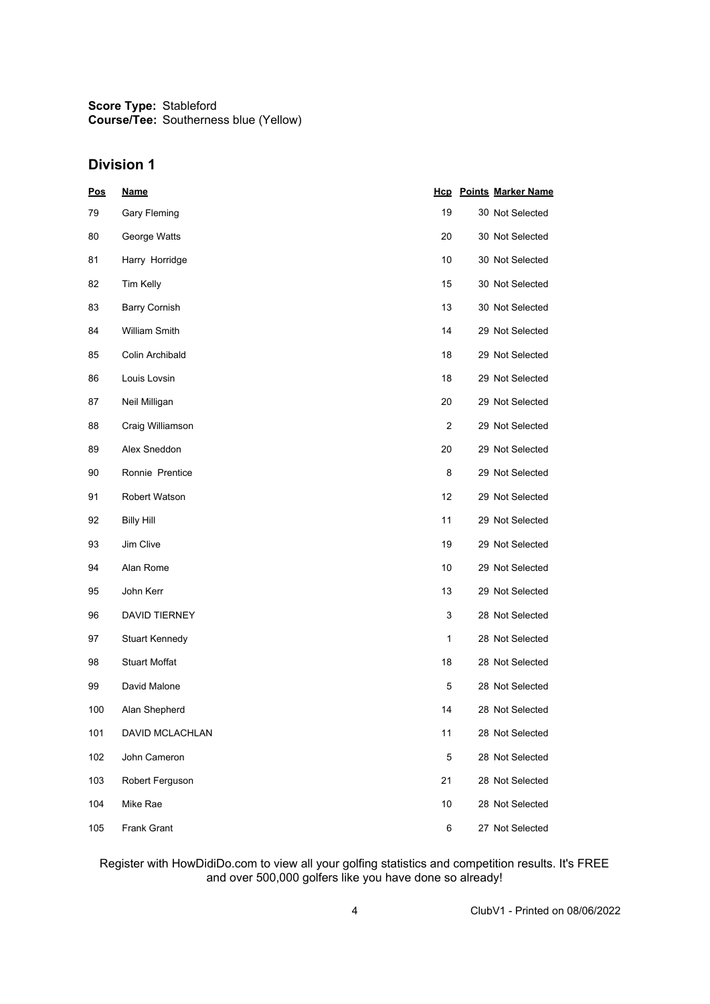## **Division 1**

| <b>Pos</b> | <b>Name</b>           |                | <b>Hcp</b> Points Marker Name |
|------------|-----------------------|----------------|-------------------------------|
| 79         | Gary Fleming          | 19             | 30 Not Selected               |
| 80         | George Watts          | 20             | 30 Not Selected               |
| 81         | Harry Horridge        | 10             | 30 Not Selected               |
| 82         | Tim Kelly             | 15             | 30 Not Selected               |
| 83         | <b>Barry Cornish</b>  | 13             | 30 Not Selected               |
| 84         | <b>William Smith</b>  | 14             | 29 Not Selected               |
| 85         | Colin Archibald       | 18             | 29 Not Selected               |
| 86         | Louis Lovsin          | 18             | 29 Not Selected               |
| 87         | Neil Milligan         | 20             | 29 Not Selected               |
| 88         | Craig Williamson      | $\overline{2}$ | 29 Not Selected               |
| 89         | Alex Sneddon          | 20             | 29 Not Selected               |
| 90         | Ronnie Prentice       | 8              | 29 Not Selected               |
| 91         | Robert Watson         | 12             | 29 Not Selected               |
| 92         | <b>Billy Hill</b>     | 11             | 29 Not Selected               |
| 93         | Jim Clive             | 19             | 29 Not Selected               |
| 94         | Alan Rome             | 10             | 29 Not Selected               |
| 95         | John Kerr             | 13             | 29 Not Selected               |
| 96         | <b>DAVID TIERNEY</b>  | 3              | 28 Not Selected               |
| 97         | <b>Stuart Kennedy</b> | 1              | 28 Not Selected               |
| 98         | <b>Stuart Moffat</b>  | 18             | 28 Not Selected               |
| 99         | David Malone          | 5              | 28 Not Selected               |
| 100        | Alan Shepherd         | 14             | 28 Not Selected               |
| 101        | DAVID MCLACHLAN       | 11             | 28 Not Selected               |
| 102        | John Cameron          | 5              | 28 Not Selected               |
| 103        | Robert Ferguson       | 21             | 28 Not Selected               |
| 104        | Mike Rae              | 10             | 28 Not Selected               |
| 105        | Frank Grant           | 6              | 27 Not Selected               |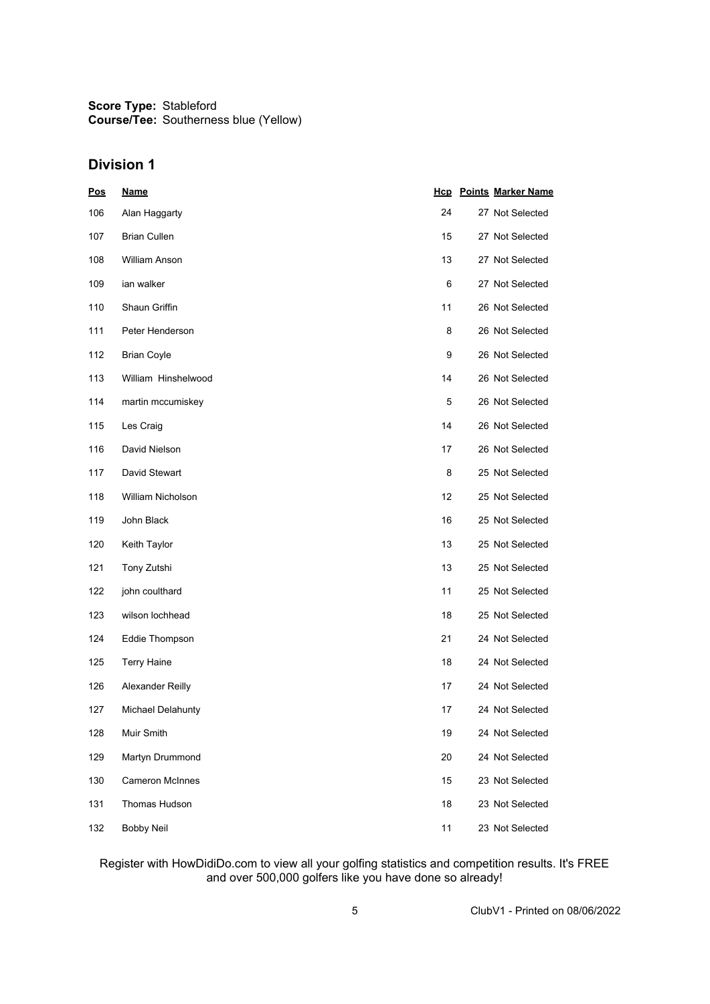## **Division 1**

| <b>Pos</b> | <b>Name</b>              |    | <b>Hcp</b> Points Marker Name |
|------------|--------------------------|----|-------------------------------|
| 106        | Alan Haggarty            | 24 | 27 Not Selected               |
| 107        | <b>Brian Cullen</b>      | 15 | 27 Not Selected               |
| 108        | <b>William Anson</b>     | 13 | 27 Not Selected               |
| 109        | ian walker               | 6  | 27 Not Selected               |
| 110        | Shaun Griffin            | 11 | 26 Not Selected               |
| 111        | Peter Henderson          | 8  | 26 Not Selected               |
| 112        | <b>Brian Coyle</b>       | 9  | 26 Not Selected               |
| 113        | William Hinshelwood      | 14 | 26 Not Selected               |
| 114        | martin mccumiskey        | 5  | 26 Not Selected               |
| 115        | Les Craig                | 14 | 26 Not Selected               |
| 116        | David Nielson            | 17 | 26 Not Selected               |
| 117        | David Stewart            | 8  | 25 Not Selected               |
| 118        | <b>William Nicholson</b> | 12 | 25 Not Selected               |
| 119        | John Black               | 16 | 25 Not Selected               |
| 120        | Keith Taylor             | 13 | 25 Not Selected               |
| 121        | Tony Zutshi              | 13 | 25 Not Selected               |
| 122        | john coulthard           | 11 | 25 Not Selected               |
| 123        | wilson lochhead          | 18 | 25 Not Selected               |
| 124        | Eddie Thompson           | 21 | 24 Not Selected               |
| 125        | <b>Terry Haine</b>       | 18 | 24 Not Selected               |
| 126        | Alexander Reilly         | 17 | 24 Not Selected               |
| 127        | Michael Delahunty        | 17 | 24 Not Selected               |
| 128        | Muir Smith               | 19 | 24 Not Selected               |
| 129        | Martyn Drummond          | 20 | 24 Not Selected               |
| 130        | <b>Cameron McInnes</b>   | 15 | 23 Not Selected               |
| 131        | Thomas Hudson            | 18 | 23 Not Selected               |
| 132        | <b>Bobby Neil</b>        | 11 | 23 Not Selected               |